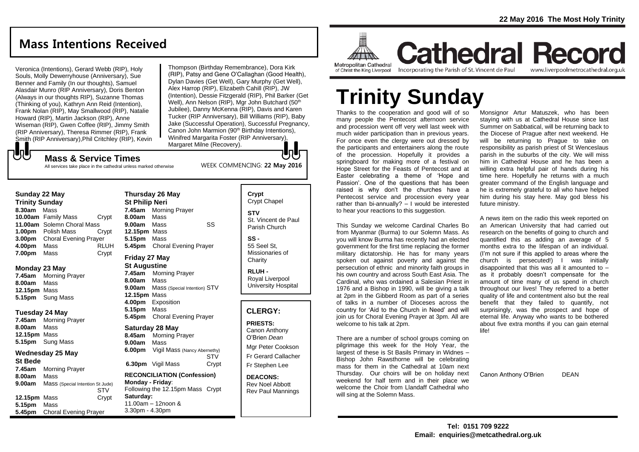# **Mass Intentions Received**

Veronica (Intentions), Gerard Webb (RIP), Holy Souls, Molly Dewerryhouse (Anniversary), Sue Benner and Family (In our thoughts), Samuel Alasdair Munro (RIP Anniversary), Doris Benton (Always in our thoughts RIP), Suzanne Thomas (Thinking of you), Kathryn Ann Reid (Intention), Frank Nolan (RIP), May Smallwood (RIP), Natalie Howard (RIP), Martin Jackson (RIP), Anne Wiseman (RIP), Gwen Coffee (RIP), Jimmy Smith (RIP Anniversary), Theresa Rimmer (RIP), Frank Smith (RIP Anniversary),Phil Critchley (RIP), Kevin Thompson (Birthday Remembrance), Dora Kirk (RIP), Patsy and Gene O'Callaghan (Good Health), Dylan Davies (Get Well), Gary Murphy (Get Well), Alex Harrop (RIP), Elizabeth Cahill (RIP), JW (Intention), Dessie Fitzgerald (RIP), Phil Barker (Get Well), Ann Nelson (RIP), Mar John Butchard (50<sup>th</sup>) Jubilee), Danny McKenna (RIP), Davis and Karen Tucker (RIP Anniversary), Bill Williams (RIP), Baby Jake (Successful Operation), Successful Pregnancy, Canon John Marmion (90<sup>th</sup> Birthday Intentions). Winifred Margarita Foster (RIP Anniversary), Margaret Milne (Recovery).

WEEK COMMENCING: **22 May 2016**

# **Mass & Service Times**

All services take place in the cathedral unless marked otherwise

#### **Sunday 22 May**

もし

**Trinity Sunday 8.30am** Mass **10.00am** Family Mass Crypt **11.00am** Solemn Choral Mass **1.00pm** Polish Mass Crypt **3.00pm** Choral Evening Prayer **4.00pm** Mass RLUH **7.00pm** Mass Crypt

#### **Monday 23 May**

**7.45am** Morning Prayer **8.00am** Mass **12.15pm** Mass **5.15pm** Sung Mass

#### **Tuesday 24 May**

**7.45am** Morning Prayer **8.00am** Mass **12.15pm** Mass **5.15pm** Sung Mass

#### **Wednesday 25 May**

**St Bede 7.45am** Morning Prayer **8.00am** Mass **9.00am** Mass (Special Intention St Jude) STV **12.15pm** Mass Crypt **5.15pm** Mass **5.45pm** Choral Evening Prayer

### **Thursday 26 May St Philip Neri 7.45am** Morning Prayer **8.00am** Mass **9.00am** Mass SS **12.15pm** Mass **5.15pm** Mass **5.45pm** Choral Evening Prayer **Friday 27 May**

**St Augustine** 

**7.45am** Morning Prayer **8.00am** Mass **9.00am** Mass (Special Intention) STV **12.15pm** Mass **4.00pm** Exposition **5.15pm** Mass **5.45pm** Choral Evening Prayer

# **Saturday 28 May**

- **8.45am** Morning Prayer **9.00am** Mass **6.00pm** Vigil Mass (Nancy Abernethy) STV **6.30pm** Vigil Mass Crypt
- **RECONCILIATION (Confession) Monday - Friday**: Following the 12.15pm Mass Crypt **Saturday:** 11.00am – 12noon & 3.30pm - 4.30pm

# **Crypt**  Crypt Chapel **STV**

St. Vincent de Paul Parish Church

**SS -** 55 Seel St, Missionaries of **Charity** 

**RLUH -** Royal Liverpool University Hospital

## **CLERGY:**

**PRIESTS:** Canon Anthony O'Brien *Dean*

Mgr Peter Cookson Fr Gerard Callacher Fr Stephen Lee

**DEACONS:** Rev Noel Abbott Rev Paul Mannings



**Cathedral Record Metropolitan Cathedral** of Christ the King Liverpool

#### Incorporating the Parish of St. Vincent de Paul www.liverpoolmetrocathedral.org.uk

# **Trinity Sunday**

Thanks to the cooperation and good will of so many people the Pentecost afternoon service and procession went off very well last week with much wider participation than in previous years. For once even the clergy were out dressed by the participants and entertainers along the route of the procession. Hopefully it provides a springboard for making more of a festival on Hope Street for the Feasts of Pentecost and at Easter celebrating a theme of 'Hope and Passion'. One of the questions that has been raised is why don't the churches have a Pentecost service and procession every year rather than bi-annually? – I would be interested to hear your reactions to this suggestion.

This Sunday we welcome Cardinal Charles Bo from Myanmar (Burma) to our Solemn Mass. As you will know Burma has recently had an elected government for the first time replacing the former military dictatorship. He has for many years spoken out against poverty and against the persecution of ethnic and minority faith groups in his own country and across South East Asia. The Cardinal, who was ordained a Salesian Priest in 1976 and a Bishop in 1990, will be giving a talk at 2pm in the Gibberd Room as part of a series of talks in a number of Dioceses across the country for 'Aid to the Church in Need' and will join us for Choral Evening Prayer at 3pm. All are welcome to his talk at 2pm.

There are a number of school groups coming on pilgrimage this week for the Holy Year, the largest of these is St Basils Primary in Widnes – Bishop John Rawsthorne will be celebrating mass for them in the Cathedral at 10am next Thursday. Our choirs will be on holiday next weekend for half term and in their place we welcome the Choir from Llandaff Cathedral who will sing at the Solemn Mass.

Monsignor Artur Matuszek, who has been staying with us at Cathedral House since last Summer on Sabbatical, will be returning back to the Diocese of Prague after next weekend. He will be returning to Prague to take on responsibility as parish priest of St Wenceslaus parish in the suburbs of the city. We will miss him in Cathedral House and he has been a willing extra helpful pair of hands during his time here. Hopefully he returns with a much greater command of the English language and he is extremely grateful to all who have helped him during his stay here. May god bless his future ministry.

A news item on the radio this week reported on an American University that had carried out research on the benefits of going to church and quantified this as adding an average of 5 months extra to the lifespan of an individual. (I'm not sure if this applied to areas where the church is persecuted!) I was initially disappointed that this was all it amounted to – as it probably doesn't compensate for the amount of time many of us spend in church throughout our lives! They referred to a better quality of life and contentment also but the real benefit that they failed to quantify, not surprisingly, was the prospect and hope of eternal life. Anyway who wants to be bothered about five extra months if you can gain eternal life!

Canon Anthony O'Brien DEAN